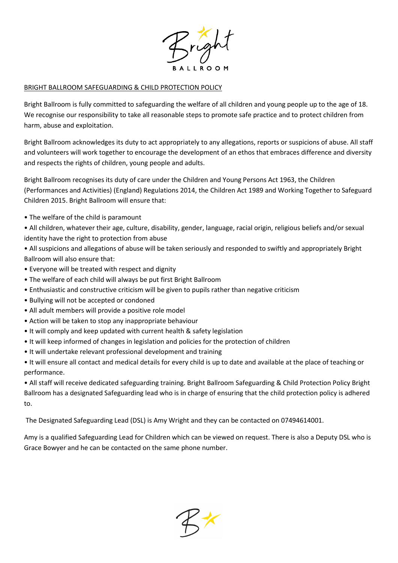

## BRIGHT BALLROOM SAFEGUARDING & CHILD PROTECTION POLICY

Bright Ballroom is fully committed to safeguarding the welfare of all children and young people up to the age of 18. We recognise our responsibility to take all reasonable steps to promote safe practice and to protect children from harm, abuse and exploitation.

Bright Ballroom acknowledges its duty to act appropriately to any allegations, reports or suspicions of abuse. All staff and volunteers will work together to encourage the development of an ethos that embraces difference and diversity and respects the rights of children, young people and adults.

Bright Ballroom recognises its duty of care under the Children and Young Persons Act 1963, the Children (Performances and Activities) (England) Regulations 2014, the Children Act 1989 and Working Together to Safeguard Children 2015. Bright Ballroom will ensure that:

• The welfare of the child is paramount

• All children, whatever their age, culture, disability, gender, language, racial origin, religious beliefs and/or sexual identity have the right to protection from abuse

- All suspicions and allegations of abuse will be taken seriously and responded to swiftly and appropriately Bright Ballroom will also ensure that:
- Everyone will be treated with respect and dignity
- The welfare of each child will always be put first Bright Ballroom
- Enthusiastic and constructive criticism will be given to pupils rather than negative criticism
- Bullying will not be accepted or condoned
- All adult members will provide a positive role model
- Action will be taken to stop any inappropriate behaviour
- It will comply and keep updated with current health & safety legislation
- It will keep informed of changes in legislation and policies for the protection of children
- It will undertake relevant professional development and training
- It will ensure all contact and medical details for every child is up to date and available at the place of teaching or performance.

• All staff will receive dedicated safeguarding training. Bright Ballroom Safeguarding & Child Protection Policy Bright Ballroom has a designated Safeguarding lead who is in charge of ensuring that the child protection policy is adhered to.

The Designated Safeguarding Lead (DSL) is Amy Wright and they can be contacted on 07494614001.

Amy is a qualified Safeguarding Lead for Children which can be viewed on request. There is also a Deputy DSL who is Grace Bowyer and he can be contacted on the same phone number.